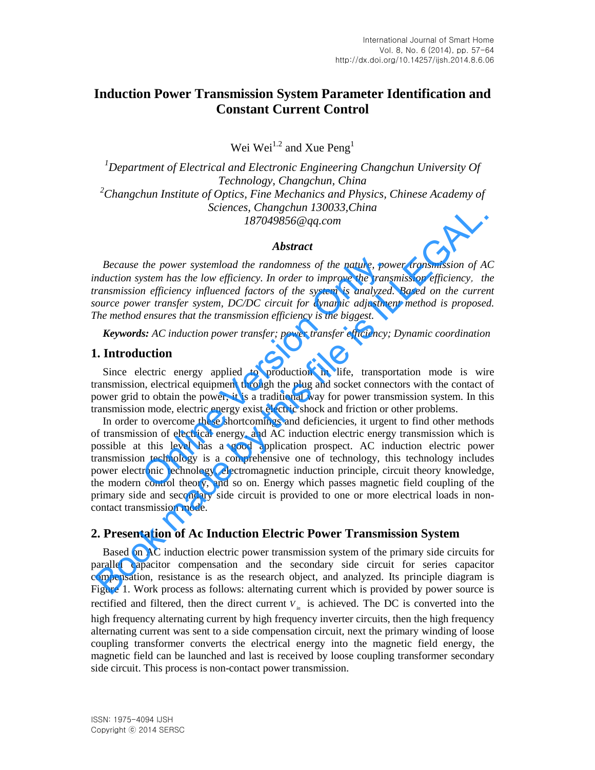# **Induction Power Transmission System Parameter Identification and Constant Current Control**

Wei Wei<sup>1.2</sup> and Xue Peng<sup>1</sup>

*<sup>1</sup>Department of Electrical and Electronic Engineering Changchun University Of Technology, Changchun, China <sup>2</sup>Changchun Institute of Optics, Fine Mechanics and Physics, Chinese Academy of Sciences, Changchun 130033,China 187049856@qq.com* 

#### *Abstract*

*Because the power systemload the randomness of the nature, power transmission of AC induction system has the low efficiency. In order to improve the transmission efficiency*,*the transmission efficiency influenced factors of the system is analyzed. Based on the current source power transfer system, DC/DC circuit for dynamic adjustment method is proposed. The method ensures that the transmission efficiency is the biggest.*

*Keywords: AC induction power transfer; power transfer efficiency; Dynamic coordination* 

## **1. Introduction**

Since electric energy applied to production in life, transportation mode is wire transmission, electrical equipment through the plug and socket connectors with the contact of power grid to obtain the power, it is a traditional way for power transmission system. In this transmission mode, electric energy exist electric shock and friction or other problems.

In order to overcome these shortcomings and deficiencies, it urgent to find other methods of transmission of electrical energy, and AC induction electric energy transmission which is possible at this level has a good application prospect. AC induction electric power transmission technology is a comprehensive one of technology, this technology includes power electronic technology, electromagnetic induction principle, circuit theory knowledge, the modern control theory, and so on. Energy which passes magnetic field coupling of the primary side and secondary side circuit is provided to one or more electrical loads in noncontact transmission mode. the power systemload the randomness of the nature, pow<br>stem has the low efficiency. In order to improve the trans<br>n efficiency influenced factors of the system is analyzed.<br>er transfer system, DC/DC circuit for dynamic adj Sciences, Changerium 1800135, China<br>
18704985669 $qq.com$ <br>
18704985669 $qq.com$ <br> **Abstract**<br> **Abstract**<br> **Because the power systemload the randomness** of the nature, power transmission of Adduction system has the low efficiency.

## **2. Presentation of Ac Induction Electric Power Transmission System**

Based on AC induction electric power transmission system of the primary side circuits for parallel capacitor compensation and the secondary side circuit for series capacitor compensation, resistance is as the research object, and analyzed. Its principle diagram is Figure 1. Work process as follows: alternating current which is provided by power source is rectified and filtered, then the direct current  $V_{in}$  is achieved. The DC is converted into the high frequency alternating current by high frequency inverter circuits, then the high frequency alternating current was sent to a side compensation circuit, next the primary winding of loose coupling transformer converts the electrical energy into the magnetic field energy, the magnetic field can be launched and last is received by loose coupling transformer secondary side circuit. This process is non-contact power transmission.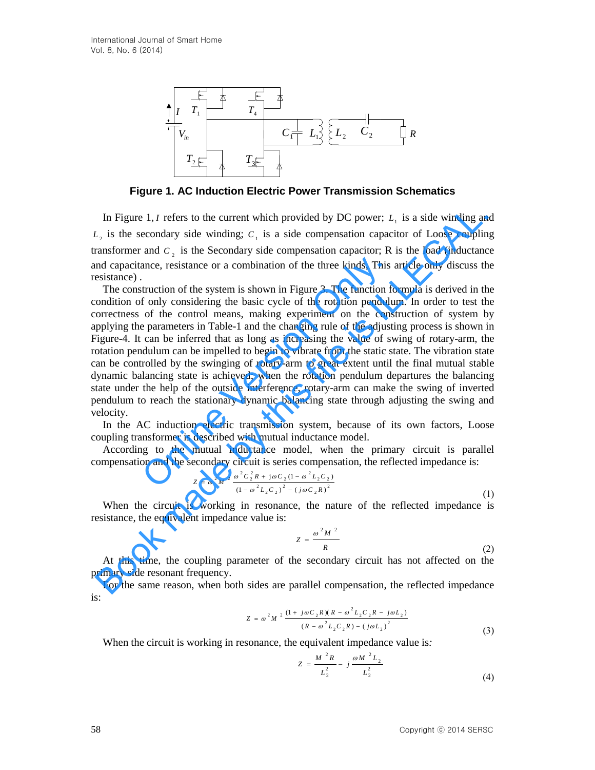

**Figure 1. AC Induction Electric Power Transmission Schematics** 

In Figure 1, *I* refers to the current which provided by DC power;  $L<sub>1</sub>$  is a side winding and  $L<sub>2</sub>$  is the secondary side winding;  $C<sub>1</sub>$  is a side compensation capacitor of Loose coupling transformer and  $C_2$  is the Secondary side compensation capacitor; R is the load (inductance and capacitance, resistance or a combination of the three kinds, This article only discuss the resistance) .

E.<br>
Figure 1. AG Induction Electric Power Transmission Schematics<br>
In Figure 1. AG Induction Electric Power Transmission Schematics<br>
In Figure 1. AG Induction Electric Power Transmission Schematics<br>
1. is the secondary s The construction of the system is shown in Figure 3. The function formula is derived in the condition of only considering the basic cycle of the rotation pendulum. In order to test the correctness of the control means, making experiment on the construction of system by applying the parameters in Table-1 and the changing rule of the adjusting process is shown in Figure-4. It can be inferred that as long as increasing the value of swing of rotary-arm, the rotation pendulum can be impelled to begin to vibrate from the static state. The vibration state can be controlled by the swinging of rotary-arm to great extent until the final mutual stable dynamic balancing state is achieved; when the rotation pendulum departures the balancing state under the help of the outside interference, rotary-arm can make the swing of inverted pendulum to reach the stationary dynamic balancing state through adjusting the swing and velocity. ance, resistance or a combination of the three kinds, This<br>truction of the system is shown in Figure 3. The function fo<br>f only considering the basic cycle of the rotation pendulu<br>of the control means, making experiment on In Figure 1, *t* refers to the current which provided by DC power;  $L_i$  is a side winding an  $L_i$  is the secondary side winding;  $C_i$  is a side compensation capacitor of Loose coupling an  $L_i$  is the Secondary side compen

In the AC induction electric transmission system, because of its own factors, Loose coupling transformer is described with mutual inductance model.

According to the mutual inductance model, when the primary circuit is parallel compensation and the secondary circuit is series compensation, the reflected impedance is:

$$
Z = \omega^2 M^2 \frac{\omega^2 C_2^2 R + j \omega C_2 (1 - \omega^2 L_2 C_2)}{(1 - \omega^2 L_2 C_2)^2 - (j \omega C_2 R)^2}
$$
(1)

When the circuit is working in resonance, the nature of the reflected impedance is resistance, the equivalent impedance value is:

$$
Z = \frac{\omega^2 M^2}{R}
$$
 (2)

At this time, the coupling parameter of the secondary circuit has not affected on the primary side resonant frequency.

For the same reason, when both sides are parallel compensation, the reflected impedance is:

$$
Z = \omega^2 M^2 \frac{(1 + j\omega C_2 R)(R - \omega^2 L_2 C_2 R - j\omega L_2)}{(R - \omega^2 L_2 C_2 R) - (j\omega L_2)^2}
$$
\n(3)

When the circuit is working in resonance, the equivalent impedance value is*:* 

$$
Z = \frac{M^2 R}{L_2^2} - j \frac{\omega M^2 L_2}{L_2^2}
$$
 (4)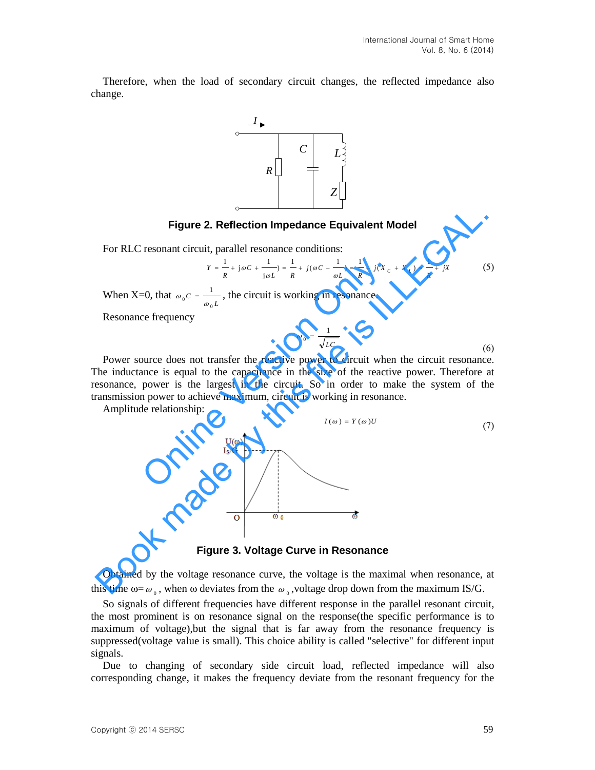Therefore, when the load of secondary circuit changes, the reflected impedance also change.



#### **Figure 2. Reflection Impedance Equivalent Model**

For RLC resonant circuit, parallel resonance conditions:

$$
Y = \frac{1}{R} + j\omega C + \frac{1}{j\omega L} = \frac{1}{R} + j(\omega C - \frac{1}{\omega L}) = \frac{1}{R} + j(X_C + X_L) = \frac{1}{R} + jX
$$
(5)

When X=0, that  $\omega_0 C = \frac{1}{\omega_0 L}$  $0^{\rm c} - \omega_0$ 1  $\omega_0 c = \frac{1}{\omega_0 L}$ , the circuit is working in resonance.

Resonance frequency

$$
\omega_0 = \frac{1}{\sqrt{LC}}\tag{6}
$$

Power source does not transfer the reactive power to circuit when the circuit resonance. The inductance is equal to the capacitance in the size of the reactive power. Therefore at resonance, power is the largest in the circuit. So in order to make the system of the transmission power to achieve maximum, circuit is working in resonance.

Amplitude relationship:



**Figure 3. Voltage Curve in Resonance**

Obtained by the voltage resonance curve, the voltage is the maximal when resonance, at this time  $\omega = \omega_0$ , when  $\omega$  deviates from the  $\omega_0$ , voltage drop down from the maximum IS/G.

So signals of different frequencies have different response in the parallel resonant circuit, the most prominent is on resonance signal on the response(the specific performance is to maximum of voltage),but the signal that is far away from the resonance frequency is suppressed(voltage value is small). This choice ability is called "selective" for different input signals.

Due to changing of secondary side circuit load, reflected impedance will also corresponding change, it makes the frequency deviate from the resonant frequency for the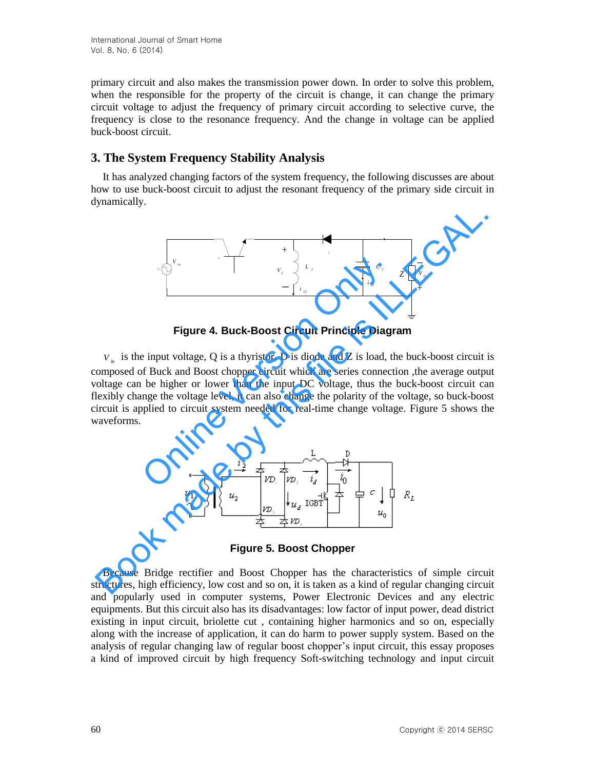primary circuit and also makes the transmission power down. In order to solve this problem, when the responsible for the property of the circuit is change, it can change the primary circuit voltage to adjust the frequency of primary circuit according to selective curve, the frequency is close to the resonance frequency. And the change in voltage can be applied buck-boost circuit.

# **3. The System Frequency Stability Analysis**

It has analyzed changing factors of the system frequency, the following discusses are about how to use buck-boost circuit to adjust the resonant frequency of the primary side circuit in dynamically.



**Figure 4. Buck-Boost Circuit Principle Diagram** 

 $V_{\text{in}}$  is the input voltage, Q is a thyristor, D is diode and Z is load, the buck-boost circuit is composed of Buck and Boost chopper circuit which are series connection ,the average output voltage can be higher or lower than the input DC voltage, thus the buck-boost circuit can flexibly change the voltage level, it can also change the polarity of the voltage, so buck-boost circuit is applied to circuit system needed for real-time change voltage. Figure 5 shows the waveforms. Figure 4. Buck-Boost Circuit Principle Diagnet in the set of the Section Only is a thyristor, D is diode and Z is load, the Section Only is a thyristor, D is diode and Z is load, the Section Only is a three set of Buck an Figure 4. Buck-Boost Circuit Principle Diagram<br>
Figure 4. Buck-Boost Circuit Principle Diagram<br>  $V_u$  is the input voltage. Q is a thyristor, D is diode and Z is load, the buck-boost circuit is<br>
omposed of Buck mad Boost c



**Figure 5. Boost Chopper** 

Because Bridge rectifier and Boost Chopper has the characteristics of simple circuit structures, high efficiency, low cost and so on, it is taken as a kind of regular changing circuit and popularly used in computer systems, Power Electronic Devices and any electric equipments. But this circuit also has its disadvantages: low factor of input power, dead district existing in input circuit, briolette cut , containing higher harmonics and so on, especially along with the increase of application, it can do harm to power supply system. Based on the analysis of regular changing law of regular boost chopper's input circuit, this essay proposes a kind of improved circuit by high frequency Soft-switching technology and input circuit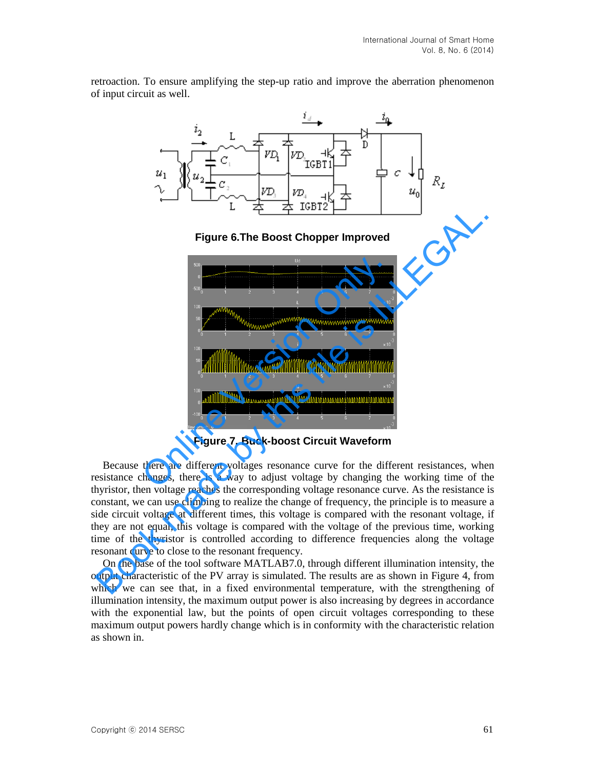retroaction. To ensure amplifying the step-up ratio and improve the aberration phenomenon of input circuit as well.



**Figure 6.The Boost Chopper Improved** 



**Figure 7. Buck-boost Circuit Waveform** 

Because there are different voltages resonance curve for the different resistances, when resistance changes, there is a way to adjust voltage by changing the working time of the thyristor, then voltage reaches the corresponding voltage resonance curve. As the resistance is constant, we can use climbing to realize the change of frequency, the principle is to measure a side circuit voltage at different times, this voltage is compared with the resonant voltage, if they are not equal, this voltage is compared with the voltage of the previous time, working time of the thyristor is controlled according to difference frequencies along the voltage resonant curve to close to the resonant frequency.

On the base of the tool software MATLAB7.0, through different illumination intensity, the output characteristic of the PV array is simulated. The results are as shown in Figure 4, from which we can see that, in a fixed environmental temperature, with the strengthening of illumination intensity, the maximum output power is also increasing by degrees in accordance with the exponential law, but the points of open circuit voltages corresponding to these maximum output powers hardly change which is in conformity with the characteristic relation as shown in.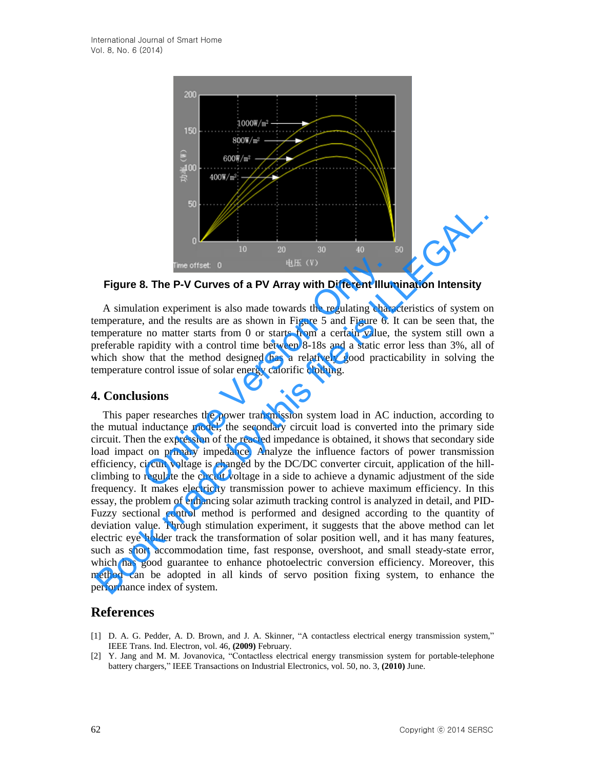

**Figure 8. The P-V Curves of a PV Array with Different Illumination Intensity**

A simulation experiment is also made towards the regulating characteristics of system on temperature, and the results are as shown in Figure 5 and Figure 6. It can be seen that, the temperature no matter starts from 0 or starts from a certain value, the system still own a preferable rapidity with a control time between 8-18s and a static error less than 3%, all of which show that the method designed has a relatively good practicability in solving the temperature control issue of solar energy calorific clothing.

## **4. Conclusions**

This paper researches the power transmission system load in AC induction, according to the mutual inductance model, the secondary circuit load is converted into the primary side circuit. Then the expression of the reacted impedance is obtained, it shows that secondary side load impact on primary impedance. Analyze the influence factors of power transmission efficiency, circuit voltage is changed by the DC/DC converter circuit, application of the hillclimbing to regulate the circuit voltage in a side to achieve a dynamic adjustment of the side frequency. It makes electricity transmission power to achieve maximum efficiency. In this essay, the problem of enhancing solar azimuth tracking control is analyzed in detail, and PID-Fuzzy sectional control method is performed and designed according to the quantity of deviation value. Through stimulation experiment, it suggests that the above method can let electric eye holder track the transformation of solar position well, and it has many features, such as short accommodation time, fast response, overshoot, and small steady-state error, which has good guarantee to enhance photoelectric conversion efficiency. Moreover, this method can be adopted in all kinds of servo position fixing system, to enhance the performance index of system. Time offset: 0 the Welf (V)<br>
B. The P-V Curves of a PV Array with Different Illun<br>
tion experiment is also made towards the regulating chara,<br>
and the results are as shown in Figure 5 and Figure 6.<br>
1 no matter starts fro **Figure 8. The P-V Curves of a PV Array with Different Illumination Intensity<br>Figure 8. The P-V Curves of a PV Array with Different Illumination Intensity<br>A simulation experiment is also made towards the regulating charac** 

# **References**

- [1] D. A. G. Pedder, A. D. Brown, and J. A. Skinner, "A contactless electrical energy transmission system," IEEE Trans. Ind. Electron, vol. 46, **(2009)** February.
- [2] Y. Jang and M. M. Jovanovica, "Contactless electrical energy transmission system for portable-telephone battery chargers," IEEE Transactions on Industrial Electronics, vol. 50, no. 3, **(2010)** June.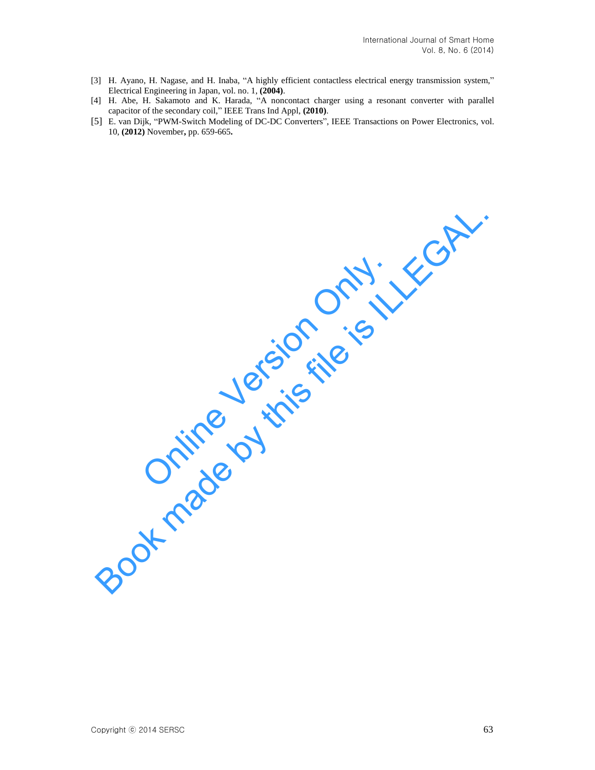- [3] H. Ayano, H. Nagase, and H. Inaba, "A highly efficient contactless electrical energy transmission system," Electrical Engineering in Japan, vol. no. 1, **(2004)**.
- [4] H. Abe, H. Sakamoto and K. Harada, "A noncontact charger using a resonant converter with parallel capacitor of the secondary coil," IEEE Trans Ind Appl, **(2010)**.
- [5] E. van Dijk, "PWM-Switch Modeling of DC-DC Converters", IEEE Transactions on Power Electronics, vol. 10, **(2012)** November**,** pp. 659-665**.**